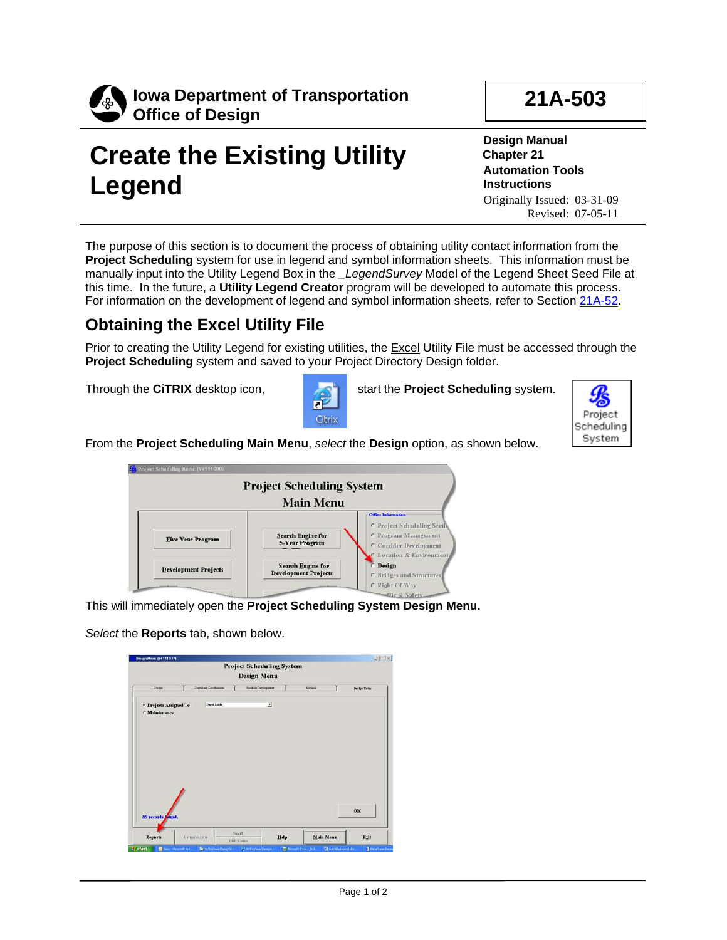

# **Create the Existing Utility Legend**

**21A-503**

**Design Manual Chapter 21 Automation Tools Instructions** Originally Issued: 03-31-09 Revised: 07-05-11

The purpose of this section is to document the process of obtaining utility contact information from the **Project Scheduling** system for use in legend and symbol information sheets. This information must be manually input into the Utility Legend Box in the *\_LegendSurvey* Model of the Legend Sheet Seed File at this time. In the future, a **Utility Legend Creator** program will be developed to automate this process. For information on the development of legend and symbol information sheets, refer to Section 21A-52.

### **Obtaining the Excel Utility File**

Prior to creating the Utility Legend for existing utilities, the Excel Utility File must be accessed through the **Project Scheduling** system and saved to your Project Directory Design folder.



Through the **CITRIX** desktop icon, start the **Project Scheduling** system.



From the **Project Scheduling Main Menu**, *select* the **Design** option, as shown below.

|                             | <b>Project Scheduling System</b><br><b>Main Menu</b>    |                                                                                                           |
|-----------------------------|---------------------------------------------------------|-----------------------------------------------------------------------------------------------------------|
| <b>Five Year Program</b>    | <b>Search Engine for</b><br><b>5-Year Program</b>       | <b>Office Information</b><br>C Project Scheduling Secti<br>C Program Management<br>C Corridor Development |
| <b>Development Projects</b> | <b>Search Engine for</b><br><b>Development Projects</b> | <b>C</b> Location & Environment<br><b>Design</b><br>C Bridges and Structures                              |

This will immediately open the **Project Scheduling System Design Menu.**

*Select* the **Reports** tab, shown below.

|                                                    |                          | <b>Design Menu</b>  |        |              |
|----------------------------------------------------|--------------------------|---------------------|--------|--------------|
| <b>Design</b>                                      | Consultant Constitutions | Roadsin Development | Meteob | Design Trebs |
| <sup>6</sup> Projects Assigned To<br>/ Maintenance | David Links              | $\overline{z}$      |        |              |
|                                                    |                          |                     |        |              |
|                                                    |                          |                     |        |              |
| 89 records Jound.                                  |                          |                     |        | ок           |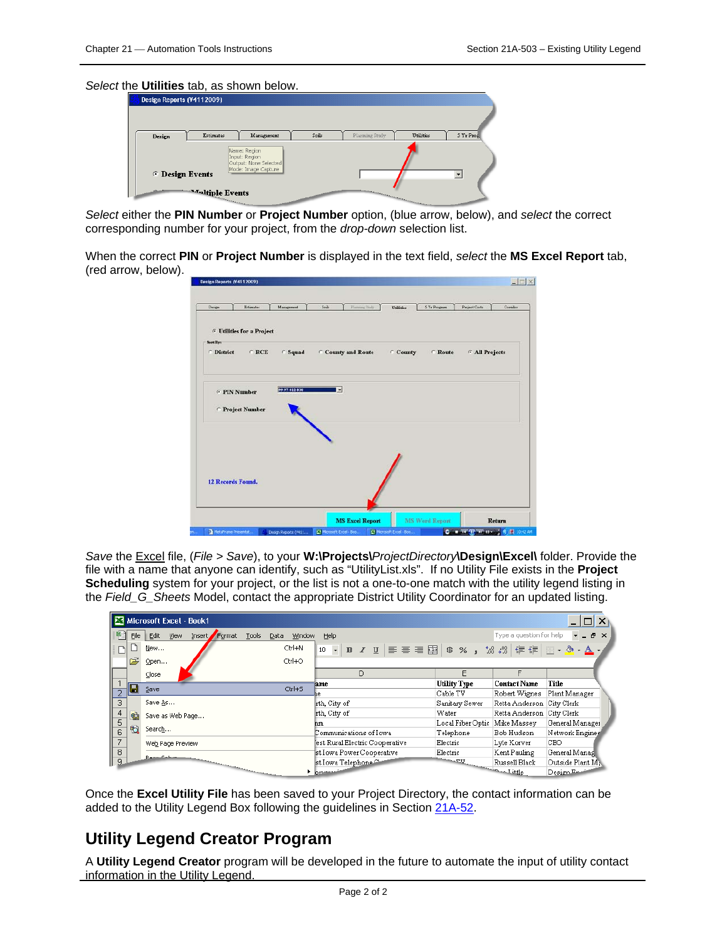#### *Select* the **Utilities** tab, as shown below.

| Design Reports (V4112009) |                         |                                                                               |       |                                                                                                                                                                                                                                |                  |            |
|---------------------------|-------------------------|-------------------------------------------------------------------------------|-------|--------------------------------------------------------------------------------------------------------------------------------------------------------------------------------------------------------------------------------|------------------|------------|
|                           |                         |                                                                               |       |                                                                                                                                                                                                                                |                  |            |
| Design.                   | <b>Estimates</b>        | Management                                                                    | Soils | Planning Study                                                                                                                                                                                                                 | <b>Utilities</b> | 5 Yr Prog. |
| <b>C</b> Design Events    | <b>Analtiple Events</b> | Name: Region<br>Input: Region<br>Output: None Selected<br>Mode: Image Capture |       | and the contract of the contract of the contract of the contract of the contract of the contract of the contract of the contract of the contract of the contract of the contract of the contract of the contract of the contra |                  |            |

*Select* either the **PIN Number** or **Project Number** option, (blue arrow, below), and *select* the correct corresponding number for your project, from the *drop-down* selection list.

When the correct **PIN** or **Project Number** is displayed in the text field, *select* the **MS Excel Report** tab, (red arrow, below).

| Design            | Estimates                                    | Management    | $S$ oule<br>Flanning Disty | Utilities        | 5 Yr Program   | <b>Project Costs</b>  | Comdor |
|-------------------|----------------------------------------------|---------------|----------------------------|------------------|----------------|-----------------------|--------|
|                   | <sup>6</sup> Utilities for a Project         |               |                            |                  |                |                       |        |
| <b>Sart Byr</b>   |                                              |               |                            |                  |                |                       |        |
| <b>C</b> District | $C$ RCE                                      | C Squad       | County and Route           | $\subset$ County | <b>C</b> Route | <b>F All Projects</b> |        |
|                   | <b>F</b> PIN Number<br><b>Project Number</b> | 39.97-012-038 | ы                          |                  |                |                       |        |
|                   | <b>12 Records Found.</b>                     |               |                            |                  |                |                       |        |
|                   |                                              |               |                            |                  |                |                       |        |

*Save* the Excel file, (*File > Save*), to your **W:\Projects\***ProjectDirectory***\Design\Excel\** folder. Provide the file with a name that anyone can identify, such as "UtilityList.xls". If no Utility File exists in the **Project Scheduling** system for your project, or the list is not a one-to-one match with the utility legend listing in the *Field\_G\_Sheets* Model, contact the appropriate District Utility Coordinator for an updated listing.

|                |           | Microsoft Excel - Book1                                                                                                                                                                                                              |                                                                                      |                     |                           |                  |
|----------------|-----------|--------------------------------------------------------------------------------------------------------------------------------------------------------------------------------------------------------------------------------------|--------------------------------------------------------------------------------------|---------------------|---------------------------|------------------|
| 벽              | Eile      | Edit<br>Insert Format<br>Tools<br><b>View</b><br>Window<br>Data                                                                                                                                                                      | Help                                                                                 |                     | Type a question for help  | $   \approx$     |
| h              |           | Ctrl+N<br>New                                                                                                                                                                                                                        | - B I U   三 三 三 国   \$ % , ' $3$ $\overset{.}{,}$ ' 1 年 年   田 - ク - $\Delta$ ,<br>10 |                     |                           |                  |
|                | Ê         | Ctrl+O<br>Open                                                                                                                                                                                                                       |                                                                                      |                     |                           |                  |
|                |           | $\subseteq$ lose                                                                                                                                                                                                                     | D                                                                                    | F                   | F                         |                  |
|                | $\boxdot$ | $Ctrl + 5$<br>Save                                                                                                                                                                                                                   | lame                                                                                 | <b>Utility Type</b> | <b>Contact Name</b>       | Title            |
|                |           |                                                                                                                                                                                                                                      |                                                                                      | Cable TV            | Robert Wignes             | Plant Manager    |
| $\overline{3}$ |           | Save As                                                                                                                                                                                                                              | rth, City of                                                                         | Sanitary Sewer      | Retta Anderson City Clerk |                  |
|                | 龟         | Save as Web Page                                                                                                                                                                                                                     | rth, City of                                                                         | Water               | Retta Anderson City Clerk |                  |
| 5              |           |                                                                                                                                                                                                                                      | hm.                                                                                  | Local Fiber Optic   | Mike Massev               | General Manager  |
| 6              | <b>to</b> | Search                                                                                                                                                                                                                               | Communications of Iowa                                                               | Telephone           | Bob Hudson                | Network Engines  |
| 7              |           | Web Page Preview                                                                                                                                                                                                                     | est Rural Electric Cooperative                                                       | Electric            | Lyle Korver               | CEO.             |
| 8              |           |                                                                                                                                                                                                                                      | st Iowa Power Cooperative                                                            | Electric            | Kent Pauling              | General Manag    |
| $\frac{9}{2}$  |           | <b>Procedure months of the contract of the contract of the contract of the contract of the contract of the contract of the contract of the contract of the contract of the contract of the contract of the contract of the contr</b> | st Iowa Telephone                                                                    |                     | Russell Black             | Outside Plant M: |
|                |           |                                                                                                                                                                                                                                      | <b>bmm</b>                                                                           |                     |                           | Design En        |

Once the **Excel Utility File** has been saved to your Project Directory, the contact information can be added to the Utility Legend Box following the guidelines in Section 21A-52.

#### **Utility Legend Creator Program**

A **Utility Legend Creator** program will be developed in the future to automate the input of utility contact **information in the Utility Legend.**